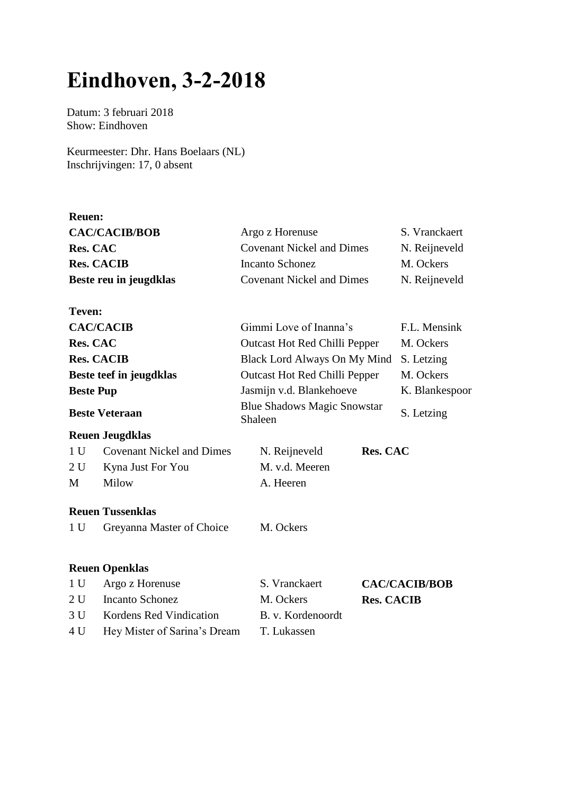## **Eindhoven, 3-2-2018**

Datum: 3 februari 2018 Show: Eindhoven

**Reuen:**

**Teven:**

Keurmeester: Dhr. Hans Boelaars (NL) Inschrijvingen: 17, 0 absent

| S. Vranckaert<br>Argo z Horenuse                  |
|---------------------------------------------------|
| N. Reijneveld<br><b>Covenant Nickel and Dimes</b> |
| <b>Incanto Schonez</b><br>M. Ockers               |
| N. Reijneveld<br><b>Covenant Nickel and Dimes</b> |
|                                                   |

| <b>CAC/CACIB</b>        | Gimmi Love of Inanna's                        | F.L. Mensink   |
|-------------------------|-----------------------------------------------|----------------|
| <b>Res. CAC</b>         | <b>Outcast Hot Red Chilli Pepper</b>          | M. Ockers      |
| <b>Res. CACIB</b>       | Black Lord Always On My Mind S. Letzing       |                |
| Beste teef in jeugdklas | <b>Outcast Hot Red Chilli Pepper</b>          | M. Ockers      |
| <b>Beste Pup</b>        | Jasmijn v.d. Blankehoeve                      | K. Blankespoor |
| <b>Beste Veteraan</b>   | <b>Blue Shadows Magic Snowstar</b><br>Shaleen | S. Letzing     |

## **Reuen Jeugdklas**

|   | 1 U Covenant Nickel and Dimes | N. Reijneveld  | <b>Res. CAC</b> |
|---|-------------------------------|----------------|-----------------|
|   | 2 U Kyna Just For You         | M. v.d. Meeren |                 |
| M | Milow                         | A. Heeren      |                 |

## **Reuen Tussenklas**

1 U Greyanna Master of Choice M. Ockers

## **Reuen Openklas**

| 1 U Argo z Horenuse              | S. Vranckaert     | <b>CAC/CACIB/BOB</b> |
|----------------------------------|-------------------|----------------------|
| 2 U Incanto Schonez              | M. Ockers         | <b>Res. CACIB</b>    |
| 3 U Kordens Red Vindication      | B. v. Kordenoordt |                      |
| 4 U Hey Mister of Sarina's Dream | T. Lukassen       |                      |